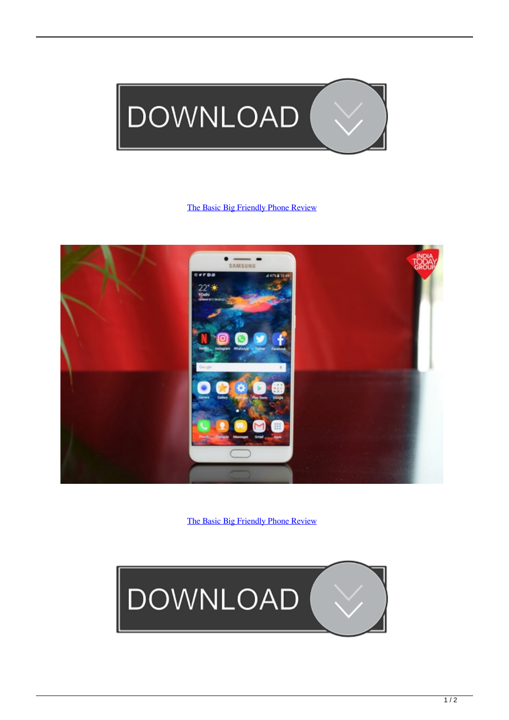

## [The Basic Big Friendly Phone Review](http://picfs.com/1bk5le)



[The Basic Big Friendly Phone Review](http://picfs.com/1bk5le)